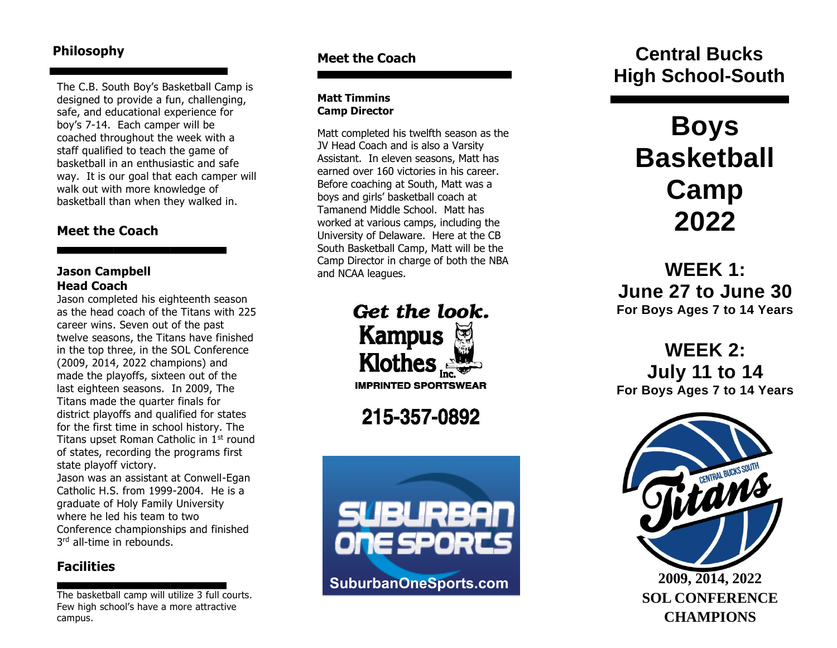The C.B. South Boy's Basketball Camp is designed to provide a fun, challenging, safe, and educational experience for boy's 7 - 14. Each camper will be coached throughout the week with a staff qualified to teach the game of basketball in an enthusiastic and safe way. It is our goal that each camper will walk out with more knowledge of basketball than when they walked in. **Meet the Coach**

## **Jason Campbell Head Coach**

Jason completed his eighteenth season as the head coach of the Titans with 225 career wins. Seven out of the past twelve seasons, the Titans have finished in the top three, in the SO L Conference (200 9, 2014, 2022 champions) and made the play offs, sixteen out of the last eigh teen seasons. In 2009, The Titans made the quarter finals for district playoffs and qualified for states for the first time in school history. The Titans upset Roman Catholic in 1<sup>st</sup> round of states, recording the programs first state playoff victory. Jason was an assistant at Conwell -Egan

Catholic H.S. from 1999 -2004. He is a graduate of Holy Family University where he led his team to two Conference championships and finished <sup>rd</sup> all-time in rebounds.

## **Facilities**

The bas ketball camp will utilize 3 full courts. Few high school's have a more attractive campus.

## **Meet the Coach**

### **Matt Timmins Camp Director**

Matt completed his twelfth season as the JV Head Coach and is also a Varsity Assistant. In eleven seasons, Matt has earned over 1 60 victories in his career . Before coaching at South , Matt was a boys and girls' basketball coach at Tamanend Middle School. Matt has worked at various camps, including the University of Delaware. Here at the CB South Basketball Camp , Matt will be the Camp Director in charge of both the NBA and NC AA leagues.

> Get the look. Kampus **THE BOOTHERS**

**215-357-0892 with the services** 



## **Philosophy Central Bucks High School -South**

# **Boys Basketball Camp 20 2 2**

**WEEK 1: June 2 7 to June 30 For Boys Ages 7 to 14 Years**

## **WEEK 2: July 1 1 to 1 4 For Boys Ages 7 to 14 Year s**